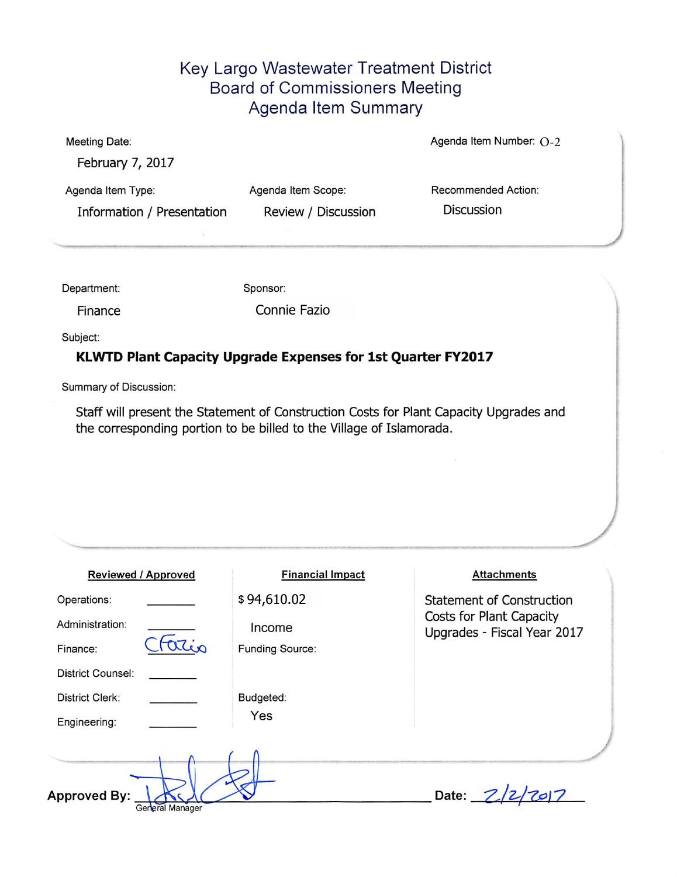## Key Largo Wastewater Treatment District Board of Commissioners Meeting Agenda Item Summary

| <b>Meeting Date:</b>                            |                                           | Agenda Item Number: $O-2$                |  |  |
|-------------------------------------------------|-------------------------------------------|------------------------------------------|--|--|
| February 7, 2017                                |                                           |                                          |  |  |
| Agenda Item Type:<br>Information / Presentation | Agenda Item Scope:<br>Review / Discussion | Recommended Action:<br><b>Discussion</b> |  |  |
|                                                 |                                           |                                          |  |  |

Department: Sponsor:

Finance Connie Fazio

Subject:

## KLWTD Plant Capacity Upgrade Expenses for 1st Quarter FY2017

Summary of Discussion:

Staff will present the Statement of Construction Costs for Plant Capacity Upgrades and the corresponding portion to be billed to the Village of Islamorada.

| <b>Reviewed / Approved</b>             | <b>Financial Impact</b> | <b>Attachments</b>                                      |
|----------------------------------------|-------------------------|---------------------------------------------------------|
| Operations:                            | \$94,610.02             | <b>Statement of Construction</b>                        |
| Administration:                        | Income                  | Costs for Plant Capacity<br>Upgrades - Fiscal Year 2017 |
| Finance:                               | Funding Source:         |                                                         |
| District Counsel:                      |                         |                                                         |
| District Clerk:                        | Budgeted:               |                                                         |
| Engineering:                           | Yes                     |                                                         |
| <b>Approved By:</b><br>General Manager |                         | Date: $Z$                                               |